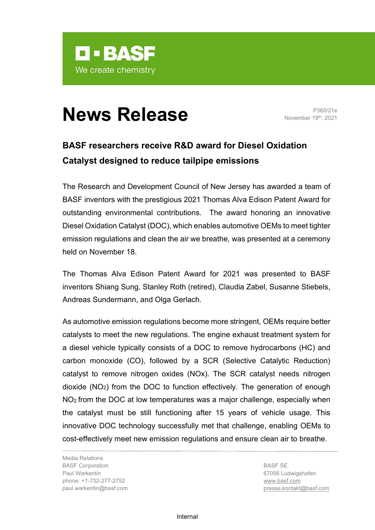

## **News Release** P360/21e

November 19th, 2021

## **BASF researchers receive R&D award for Diesel Oxidation Catalyst designed to reduce tailpipe emissions**

The Research and Development Council of New Jersey has awarded a team of BASF inventors with the prestigious 2021 Thomas Alva Edison Patent Award for outstanding environmental contributions. The award honoring an innovative Diesel Oxidation Catalyst (DOC), which enables automotive OEMs to meet tighter emission regulations and clean the air we breathe, was presented at a ceremony held on November 18.

The Thomas Alva Edison Patent Award for 2021 was presented to BASF inventors Shiang Sung, Stanley Roth (retired), Claudia Zabel, Susanne Stiebels, Andreas Sundermann, and Olga Gerlach.

As automotive emission regulations become more stringent, OEMs require better catalysts to meet the new regulations. The engine exhaust treatment system for a diesel vehicle typically consists of a DOC to remove hydrocarbons (HC) and carbon monoxide (CO), followed by a SCR (Selective Catalytic Reduction) catalyst to remove nitrogen oxides (NOx). The SCR catalyst needs nitrogen dioxide (NO2) from the DOC to function effectively. The generation of enough NO2 from the DOC at low temperatures was a major challenge, especially when the catalyst must be still functioning after 15 years of vehicle usage. This innovative DOC technology successfully met that challenge, enabling OEMs to cost-effectively meet new emission regulations and ensure clean air to breathe.

Media Relations BASF Corporation Paul Warkentin phone: +1-732-277-2752 paul.warkentin@basf.com

BASF SE 67056 Ludwigshafen [www.basf.com](http://www.basf.com/) presse.kontakt@basf.com